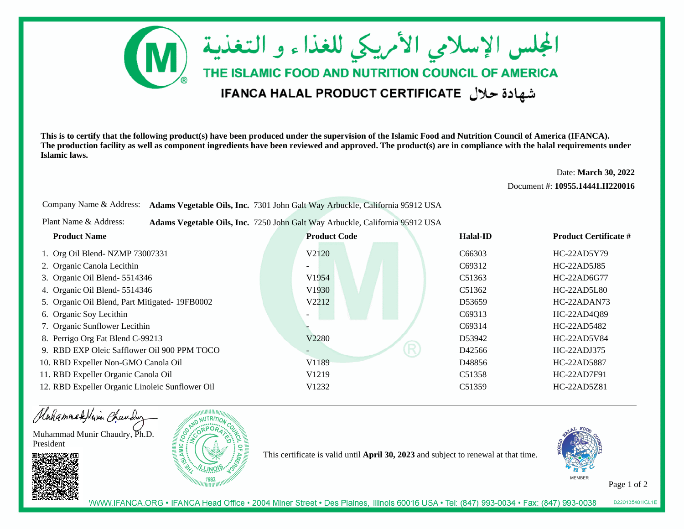

**This is to certify that the following product(s) have been produced under the supervision of the Islamic Food and Nutrition Council of America (IFANCA). The production facility as well as component ingredients have been reviewed and approved. The product(s) are in compliance with the halal requirements underIslamic laws.**

Date: **March 30, 2022**

Document #: **10955.14441.II220016**

Company Name & Address: **Adams Vegetable Oils, Inc.** 7301 John Galt Way Arbuckle, California 95912 USA

Plant Name & Address:**Adams Vegetable Oils, Inc.** 7250 John Galt Way Arbuckle, California 95912 USA

| <b>Product Name</b>                             | <b>Product Code</b> | Halal-ID            | <b>Product Certificate #</b> |
|-------------------------------------------------|---------------------|---------------------|------------------------------|
| 1. Org Oil Blend-NZMP 73007331                  | V2120               | C <sub>66303</sub>  | $HC-22AD5Y79$                |
| 2. Organic Canola Lecithin                      |                     | C69312              | HC-22AD5J85                  |
| 3. Organic Oil Blend-5514346                    | V <sub>1954</sub>   | C <sub>5</sub> 1363 | $HC-22AD6G77$                |
| 4. Organic Oil Blend- 5514346                   | V1930               | C <sub>5</sub> 1362 | <b>HC-22AD5L80</b>           |
| 5. Organic Oil Blend, Part Mitigated- 19FB0002  | V2212               | D <sub>5</sub> 3659 | HC-22ADAN73                  |
| 6. Organic Soy Lecithin                         |                     | C69313              | HC-22AD4Q89                  |
| 7. Organic Sunflower Lecithin                   |                     | C69314              | HC-22AD5482                  |
| 8. Perrigo Org Fat Blend C-99213                | V2280               | D53942              | <b>HC-22AD5V84</b>           |
| 9. RBD EXP Oleic Safflower Oil 900 PPM TOCO     | R                   | D <sub>42566</sub>  | HC-22ADJ375                  |
| 10. RBD Expeller Non-GMO Canola Oil             | V1189               | D <sub>48856</sub>  | HC-22AD5887                  |
| 11. RBD Expeller Organic Canola Oil             | V <sub>1219</sub>   | C <sub>5</sub> 1358 | HC-22AD7F91                  |
| 12. RBD Expeller Organic Linoleic Sunflower Oil | V <sub>1232</sub>   | C <sub>5</sub> 1359 | HC-22AD5Z81                  |

Hahammadelivin Chauding

Muhammad Munir Chaudry, Ph.D.President





This certificate is valid until **April 30, 2023** and subject to renewal at that time.



Page 1 of 2